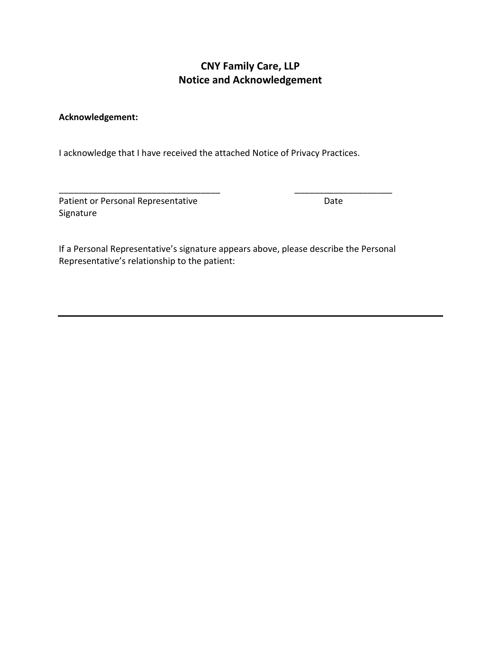# **CNY Family Care, LLP Notice and Acknowledgement**

#### **Acknowledgement:**

I acknowledge that I have received the attached Notice of Privacy Practices.

Patient or Personal Representative Date Date Signature

If a Personal Representative's signature appears above, please describe the Personal Representative's relationship to the patient:

\_\_\_\_\_\_\_\_\_\_\_\_\_\_\_\_\_\_\_\_\_\_\_\_\_\_\_\_\_\_\_\_\_ \_\_\_\_\_\_\_\_\_\_\_\_\_\_\_\_\_\_\_\_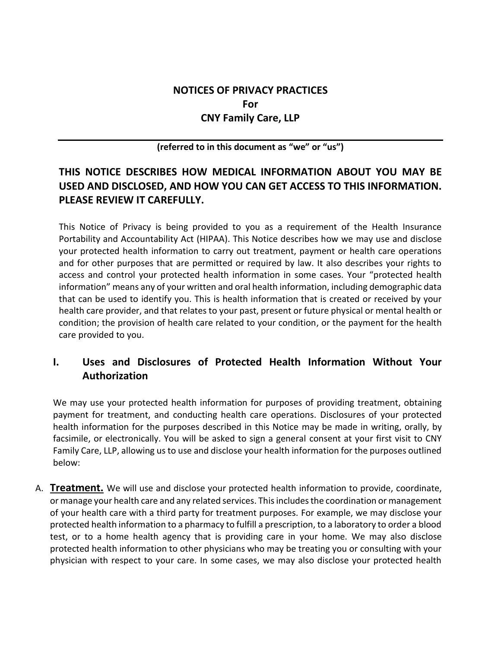## **NOTICES OF PRIVACY PRACTICES For CNY Family Care, LLP**

#### **(referred to in this document as "we" or "us")**

# **THIS NOTICE DESCRIBES HOW MEDICAL INFORMATION ABOUT YOU MAY BE USED AND DISCLOSED, AND HOW YOU CAN GET ACCESS TO THIS INFORMATION. PLEASE REVIEW IT CAREFULLY.**

This Notice of Privacy is being provided to you as a requirement of the Health Insurance Portability and Accountability Act (HIPAA). This Notice describes how we may use and disclose your protected health information to carry out treatment, payment or health care operations and for other purposes that are permitted or required by law. It also describes your rights to access and control your protected health information in some cases. Your "protected health information" means any of your written and oral health information, including demographic data that can be used to identify you. This is health information that is created or received by your health care provider, and that relates to your past, present or future physical or mental health or condition; the provision of health care related to your condition, or the payment for the health care provided to you.

## **I. Uses and Disclosures of Protected Health Information Without Your Authorization**

We may use your protected health information for purposes of providing treatment, obtaining payment for treatment, and conducting health care operations. Disclosures of your protected health information for the purposes described in this Notice may be made in writing, orally, by facsimile, or electronically. You will be asked to sign a general consent at your first visit to CNY Family Care, LLP, allowing us to use and disclose your health information for the purposes outlined below:

A. **Treatment.** We will use and disclose your protected health information to provide, coordinate, or manage your health care and any related services. This includes the coordination or management of your health care with a third party for treatment purposes. For example, we may disclose your protected health information to a pharmacy to fulfill a prescription, to a laboratory to order a blood test, or to a home health agency that is providing care in your home. We may also disclose protected health information to other physicians who may be treating you or consulting with your physician with respect to your care. In some cases, we may also disclose your protected health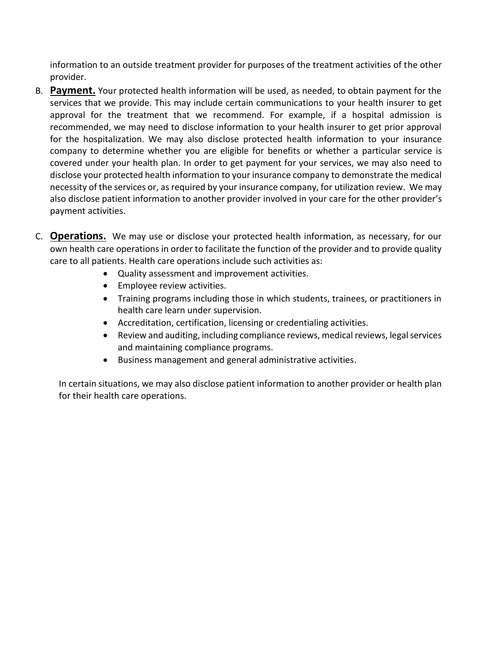information to an outside treatment provider for purposes of the treatment activities of the other provider.

- B. **Payment.** Your protected health information will be used, as needed, to obtain payment for the services that we provide. This may include certain communications to your health insurer to get approval for the treatment that we recommend. For example, if a hospital admission is recommended, we may need to disclose information to your health insurer to get prior approval for the hospitalization. We may also disclose protected health information to your insurance company to determine whether you are eligible for benefits or whether a particular service is covered under your health plan. In order to get payment for your services, we may also need to disclose your protected health information to your insurance company to demonstrate the medical necessity of the services or, as required by your insurance company, for utilization review. We may also disclose patient information to another provider involved in your care for the other provider's payment activities.
- C. **Operations.** We may use or disclose your protected health information, as necessary, for our own health care operations in order to facilitate the function of the provider and to provide quality care to all patients. Health care operations include such activities as:
	- Quality assessment and improvement activities.
	- **•** Employee review activities.
	- Training programs including those in which students, trainees, or practitioners in health care learn under supervision.
	- Accreditation, certification, licensing or credentialing activities.
	- Review and auditing, including compliance reviews, medical reviews, legal services and maintaining compliance programs.
	- Business management and general administrative activities.

In certain situations, we may also disclose patient information to another provider or health plan for their health care operations.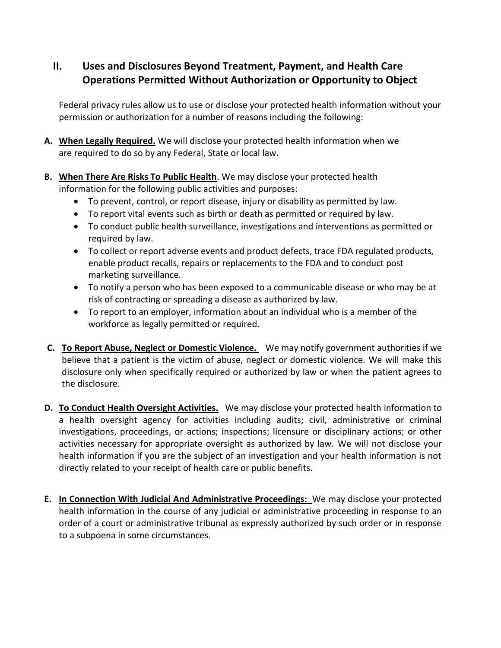# **II. Uses and Disclosures Beyond Treatment, Payment, and Health Care Operations Permitted Without Authorization or Opportunity to Object**

Federal privacy rules allow us to use or disclose your protected health information without your permission or authorization for a number of reasons including the following:

- **A. When Legally Required.** We will disclose your protected health information when we are required to do so by any Federal, State or local law.
- **B. When There Are Risks To Public Health**. We may disclose your protected health information for the following public activities and purposes:
	- To prevent, control, or report disease, injury or disability as permitted by law.
	- To report vital events such as birth or death as permitted or required by law.
	- To conduct public health surveillance, investigations and interventions as permitted or required by law.
	- To collect or report adverse events and product defects, trace FDA regulated products, enable product recalls, repairs or replacements to the FDA and to conduct post marketing surveillance.
	- To notify a person who has been exposed to a communicable disease or who may be at risk of contracting or spreading a disease as authorized by law.
	- To report to an employer, information about an individual who is a member of the workforce as legally permitted or required.
- **C. To Report Abuse, Neglect or Domestic Violence.** We may notify government authorities if we believe that a patient is the victim of abuse, neglect or domestic violence. We will make this disclosure only when specifically required or authorized by law or when the patient agrees to the disclosure.
- **D. To Conduct Health Oversight Activities.** We may disclose your protected health information to a health oversight agency for activities including audits; civil, administrative or criminal investigations, proceedings, or actions; inspections; licensure or disciplinary actions; or other activities necessary for appropriate oversight as authorized by law. We will not disclose your health information if you are the subject of an investigation and your health information is not directly related to your receipt of health care or public benefits.
- **E. In Connection With Judicial And Administrative Proceedings:** We may disclose your protected health information in the course of any judicial or administrative proceeding in response to an order of a court or administrative tribunal as expressly authorized by such order or in response to a subpoena in some circumstances.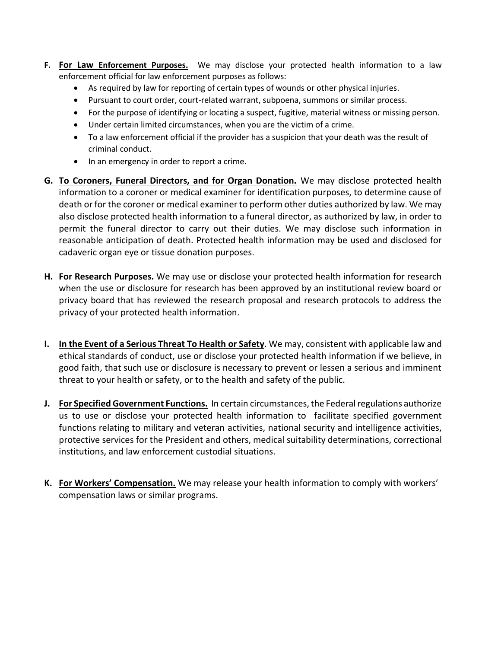- **F. For Law Enforcement Purposes.** We may disclose your protected health information to a law enforcement official for law enforcement purposes as follows:
	- As required by law for reporting of certain types of wounds or other physical injuries.
	- Pursuant to court order, court-related warrant, subpoena, summons or similar process.
	- For the purpose of identifying or locating a suspect, fugitive, material witness or missing person.
	- Under certain limited circumstances, when you are the victim of a crime.
	- To a law enforcement official if the provider has a suspicion that your death was the result of criminal conduct.
	- In an emergency in order to report a crime.
- **G. To Coroners, Funeral Directors, and for Organ Donation.** We may disclose protected health information to a coroner or medical examiner for identification purposes, to determine cause of death or for the coroner or medical examiner to perform other duties authorized by law. We may also disclose protected health information to a funeral director, as authorized by law, in order to permit the funeral director to carry out their duties. We may disclose such information in reasonable anticipation of death. Protected health information may be used and disclosed for cadaveric organ eye or tissue donation purposes.
- **H. For Research Purposes.** We may use or disclose your protected health information for research when the use or disclosure for research has been approved by an institutional review board or privacy board that has reviewed the research proposal and research protocols to address the privacy of your protected health information.
- **I. In the Event of a Serious Threat To Health or Safety**. We may, consistent with applicable law and ethical standards of conduct, use or disclose your protected health information if we believe, in good faith, that such use or disclosure is necessary to prevent or lessen a serious and imminent threat to your health or safety, or to the health and safety of the public.
- **J. For Specified Government Functions.** In certain circumstances, the Federal regulations authorize us to use or disclose your protected health information to facilitate specified government functions relating to military and veteran activities, national security and intelligence activities, protective services for the President and others, medical suitability determinations, correctional institutions, and law enforcement custodial situations.
- **K. For Workers' Compensation.** We may release your health information to comply with workers' compensation laws or similar programs.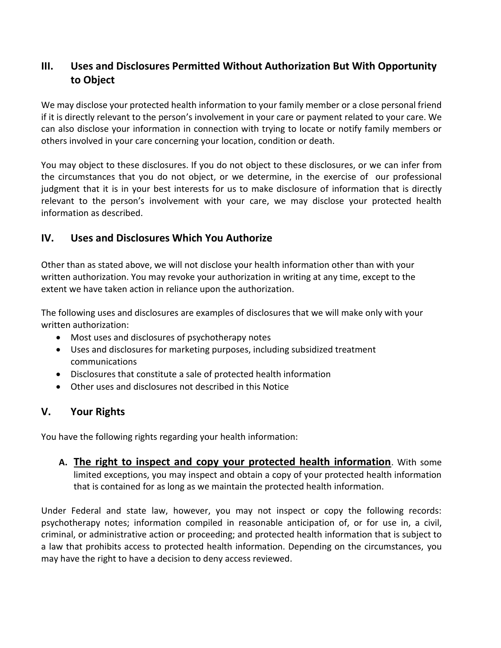# **III. Uses and Disclosures Permitted Without Authorization But With Opportunity to Object**

We may disclose your protected health information to your family member or a close personal friend if it is directly relevant to the person's involvement in your care or payment related to your care. We can also disclose your information in connection with trying to locate or notify family members or others involved in your care concerning your location, condition or death.

You may object to these disclosures. If you do not object to these disclosures, or we can infer from the circumstances that you do not object, or we determine, in the exercise of our professional judgment that it is in your best interests for us to make disclosure of information that is directly relevant to the person's involvement with your care, we may disclose your protected health information as described.

## **IV. Uses and Disclosures Which You Authorize**

Other than as stated above, we will not disclose your health information other than with your written authorization. You may revoke your authorization in writing at any time, except to the extent we have taken action in reliance upon the authorization.

The following uses and disclosures are examples of disclosures that we will make only with your written authorization:

- Most uses and disclosures of psychotherapy notes
- Uses and disclosures for marketing purposes, including subsidized treatment communications
- Disclosures that constitute a sale of protected health information
- Other uses and disclosures not described in this Notice

## **V. Your Rights**

You have the following rights regarding your health information:

**A. The right to inspect and copy your protected health information**. With some limited exceptions, you may inspect and obtain a copy of your protected health information that is contained for as long as we maintain the protected health information.

Under Federal and state law, however, you may not inspect or copy the following records: psychotherapy notes; information compiled in reasonable anticipation of, or for use in, a civil, criminal, or administrative action or proceeding; and protected health information that is subject to a law that prohibits access to protected health information. Depending on the circumstances, you may have the right to have a decision to deny access reviewed.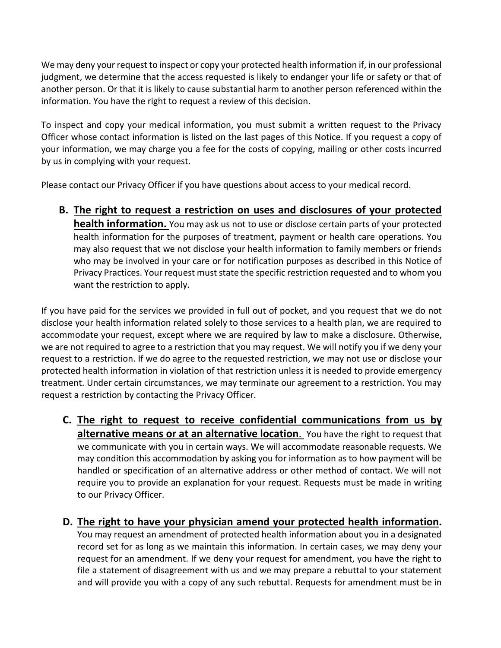We may deny your request to inspect or copy your protected health information if, in our professional judgment, we determine that the access requested is likely to endanger your life or safety or that of another person. Or that it is likely to cause substantial harm to another person referenced within the information. You have the right to request a review of this decision.

To inspect and copy your medical information, you must submit a written request to the Privacy Officer whose contact information is listed on the last pages of this Notice. If you request a copy of your information, we may charge you a fee for the costs of copying, mailing or other costs incurred by us in complying with your request.

Please contact our Privacy Officer if you have questions about access to your medical record.

**B. The right to request a restriction on uses and disclosures of your protected health information.** You may ask us not to use or disclose certain parts of your protected health information for the purposes of treatment, payment or health care operations. You may also request that we not disclose your health information to family members or friends who may be involved in your care or for notification purposes as described in this Notice of Privacy Practices. Your request must state the specific restriction requested and to whom you want the restriction to apply.

If you have paid for the services we provided in full out of pocket, and you request that we do not disclose your health information related solely to those services to a health plan, we are required to accommodate your request, except where we are required by law to make a disclosure. Otherwise, we are not required to agree to a restriction that you may request. We will notify you if we deny your request to a restriction. If we do agree to the requested restriction, we may not use or disclose your protected health information in violation of that restriction unless it is needed to provide emergency treatment. Under certain circumstances, we may terminate our agreement to a restriction. You may request a restriction by contacting the Privacy Officer.

- **C. The right to request to receive confidential communications from us by alternative means or at an alternative location**. You have the right to request that we communicate with you in certain ways. We will accommodate reasonable requests. We may condition this accommodation by asking you for information as to how payment will be handled or specification of an alternative address or other method of contact. We will not require you to provide an explanation for your request. Requests must be made in writing to our Privacy Officer.
- **D. The right to have your physician amend your protected health information.**  You may request an amendment of protected health information about you in a designated record set for as long as we maintain this information. In certain cases, we may deny your request for an amendment. If we deny your request for amendment, you have the right to file a statement of disagreement with us and we may prepare a rebuttal to your statement and will provide you with a copy of any such rebuttal. Requests for amendment must be in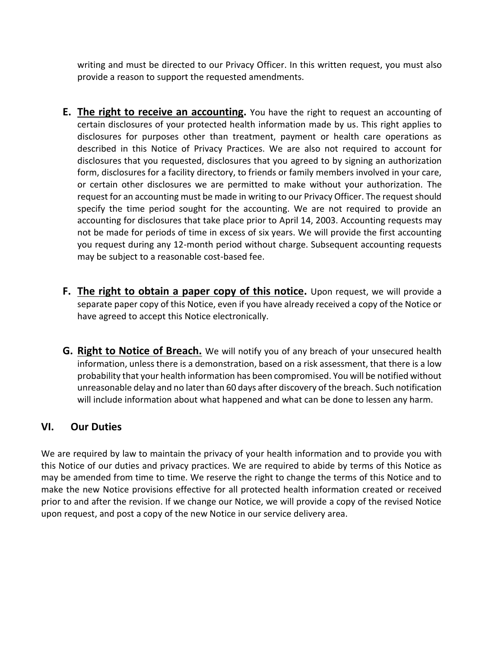writing and must be directed to our Privacy Officer. In this written request, you must also provide a reason to support the requested amendments.

- **E. The right to receive an accounting.** You have the right to request an accounting of certain disclosures of your protected health information made by us. This right applies to disclosures for purposes other than treatment, payment or health care operations as described in this Notice of Privacy Practices. We are also not required to account for disclosures that you requested, disclosures that you agreed to by signing an authorization form, disclosures for a facility directory, to friends or family members involved in your care, or certain other disclosures we are permitted to make without your authorization. The request for an accounting must be made in writing to our Privacy Officer. The request should specify the time period sought for the accounting. We are not required to provide an accounting for disclosures that take place prior to April 14, 2003. Accounting requests may not be made for periods of time in excess of six years. We will provide the first accounting you request during any 12-month period without charge. Subsequent accounting requests may be subject to a reasonable cost-based fee.
- **F.** The right to obtain a paper copy of this notice. Upon request, we will provide a separate paper copy of this Notice, even if you have already received a copy of the Notice or have agreed to accept this Notice electronically.
- **G. Right to Notice of Breach.** We will notify you of any breach of your unsecured health information, unless there is a demonstration, based on a risk assessment, that there is a low probability that your health information has been compromised. You will be notified without unreasonable delay and no later than 60 days after discovery of the breach. Such notification will include information about what happened and what can be done to lessen any harm.

## **VI. Our Duties**

We are required by law to maintain the privacy of your health information and to provide you with this Notice of our duties and privacy practices. We are required to abide by terms of this Notice as may be amended from time to time. We reserve the right to change the terms of this Notice and to make the new Notice provisions effective for all protected health information created or received prior to and after the revision. If we change our Notice, we will provide a copy of the revised Notice upon request, and post a copy of the new Notice in our service delivery area.